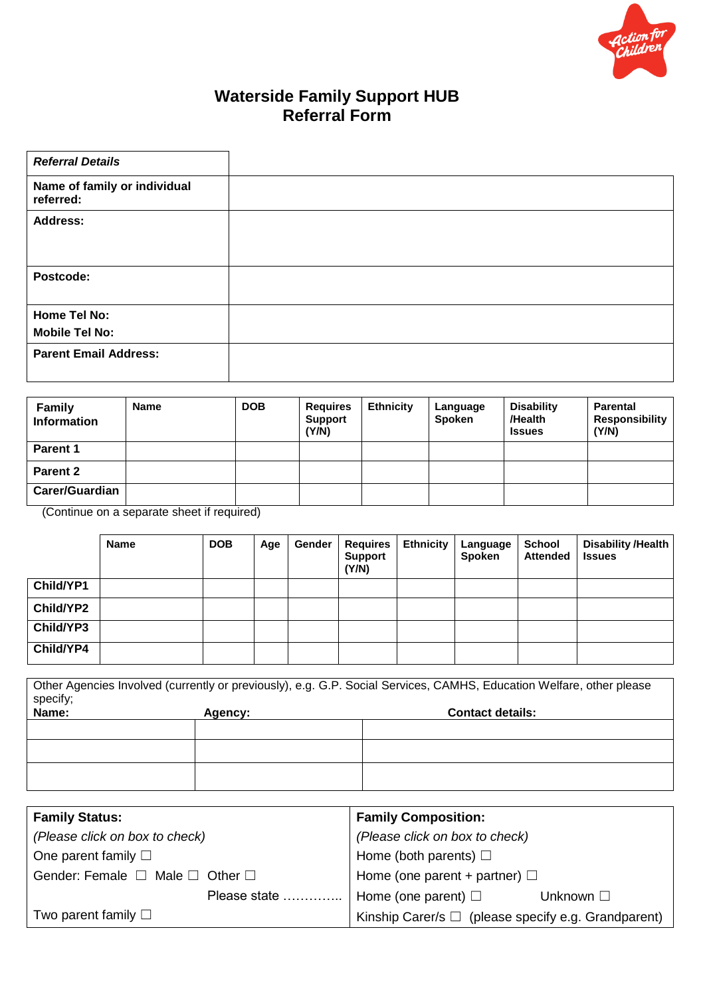

# **Waterside Family Support HUB Referral Form**

| <b>Referral Details</b>                   |  |
|-------------------------------------------|--|
| Name of family or individual<br>referred: |  |
| <b>Address:</b>                           |  |
| Postcode:                                 |  |
| Home Tel No:                              |  |
| <b>Mobile Tel No:</b>                     |  |
| <b>Parent Email Address:</b>              |  |

| <b>Family</b><br><b>Information</b> | <b>Name</b> | <b>DOB</b> | <b>Requires</b><br><b>Support</b><br>(Y/N) | <b>Ethnicity</b> | Language<br><b>Spoken</b> | <b>Disability</b><br>/Health<br><b>Issues</b> | <b>Parental</b><br><b>Responsibility</b><br>(Y/N) |
|-------------------------------------|-------------|------------|--------------------------------------------|------------------|---------------------------|-----------------------------------------------|---------------------------------------------------|
| Parent 1                            |             |            |                                            |                  |                           |                                               |                                                   |
| Parent 2                            |             |            |                                            |                  |                           |                                               |                                                   |
| <b>Carer/Guardian</b>               |             |            |                                            |                  |                           |                                               |                                                   |

(Continue on a separate sheet if required)

|           | <b>Name</b> | <b>DOB</b> | Age | Gender | <b>Requires</b><br><b>Support</b><br>(Y/N) | <b>Ethnicity</b> | Language<br>Spoken | <b>School</b><br><b>Attended</b> | Disability /Health<br><b>Issues</b> |
|-----------|-------------|------------|-----|--------|--------------------------------------------|------------------|--------------------|----------------------------------|-------------------------------------|
| Child/YP1 |             |            |     |        |                                            |                  |                    |                                  |                                     |
| Child/YP2 |             |            |     |        |                                            |                  |                    |                                  |                                     |
| Child/YP3 |             |            |     |        |                                            |                  |                    |                                  |                                     |
| Child/YP4 |             |            |     |        |                                            |                  |                    |                                  |                                     |

Other Agencies Involved (currently or previously), e.g. G.P. Social Services, CAMHS, Education Welfare, other please specify; **Name: Agency: Contact details:**

| <b>Family Status:</b>                          | <b>Family Composition:</b>                               |
|------------------------------------------------|----------------------------------------------------------|
| (Please click on box to check)                 | (Please click on box to check)                           |
| One parent family $\square$                    | Home (both parents) $\Box$                               |
| Gender: Female $\Box$ Male $\Box$ Other $\Box$ | Home (one parent + partner) $\Box$                       |
| Please state                                   | Home (one parent) $\square$<br>Unknown $\square$         |
| Two parent family $\square$                    | Kinship Carer/s $\Box$ (please specify e.g. Grandparent) |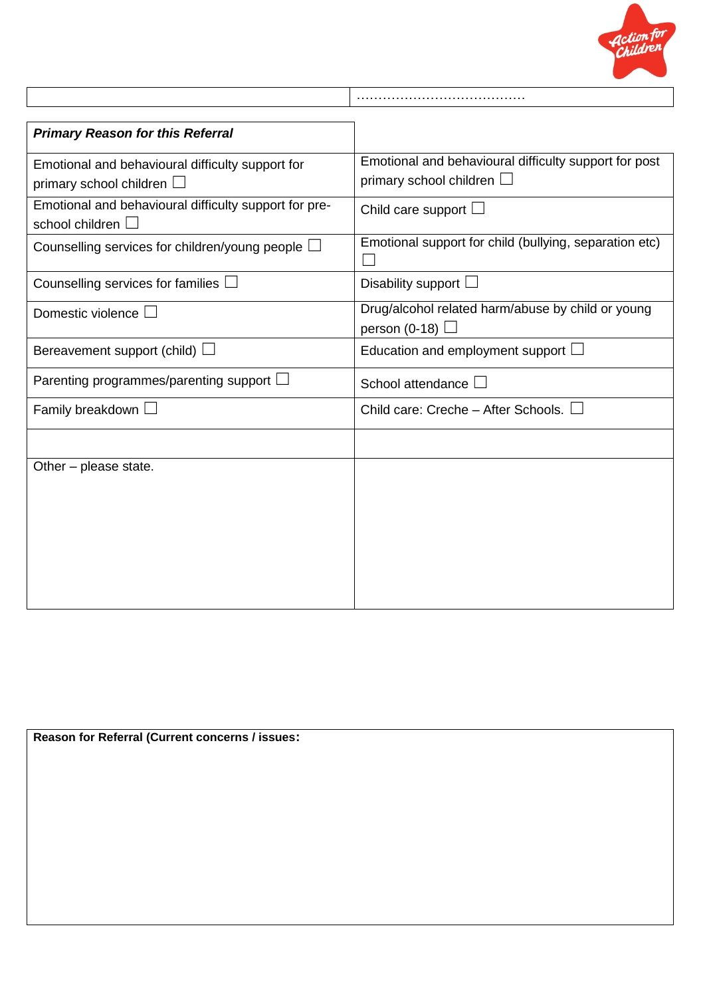

| <b>Primary Reason for this Referral</b>                                            |                                                                                         |
|------------------------------------------------------------------------------------|-----------------------------------------------------------------------------------------|
| Emotional and behavioural difficulty support for<br>primary school children $\Box$ | Emotional and behavioural difficulty support for post<br>primary school children $\Box$ |
| Emotional and behavioural difficulty support for pre-<br>school children $\square$ | Child care support $\Box$                                                               |
| Counselling services for children/young people $\Box$                              | Emotional support for child (bullying, separation etc)                                  |
| Counselling services for families I                                                | Disability support $\Box$                                                               |
| Domestic violence $\Box$                                                           | Drug/alcohol related harm/abuse by child or young<br>person (0-18) $\Box$               |
| Bereavement support (child) $\Box$                                                 | Education and employment support $\Box$                                                 |
| Parenting programmes/parenting support $\Box$                                      | School attendance                                                                       |
| Family breakdown $\Box$                                                            | Child care: Creche – After Schools. $\Box$                                              |
|                                                                                    |                                                                                         |
| Other – please state.                                                              |                                                                                         |

**Reason for Referral (Current concerns / issues:**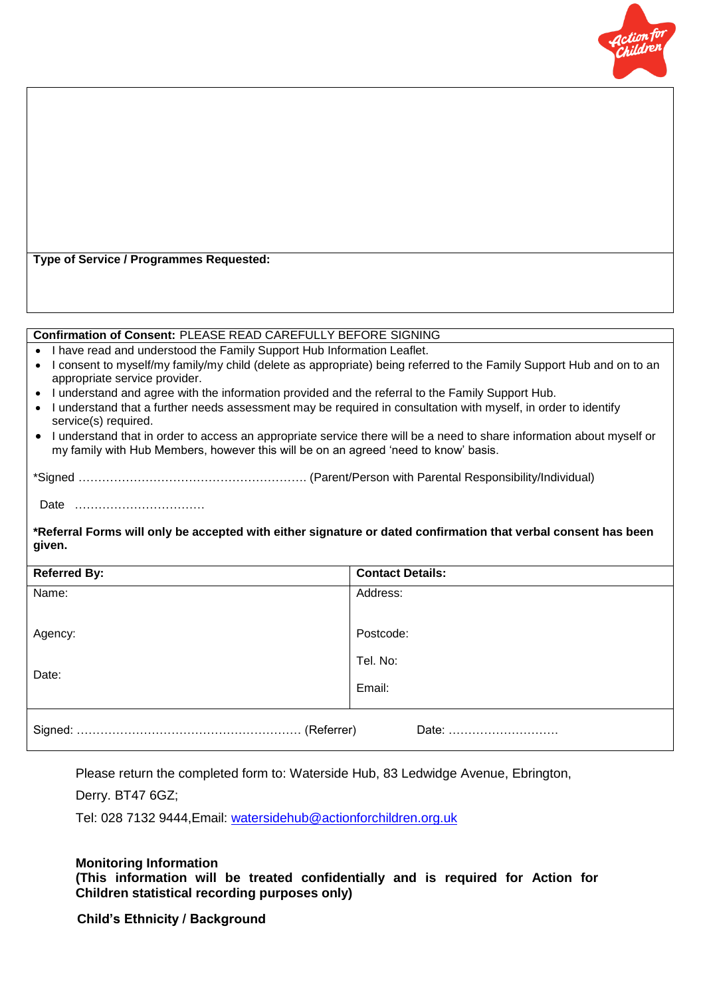

**Type of Service / Programmes Requested:**

#### **Confirmation of Consent:** PLEASE READ CAREFULLY BEFORE SIGNING

- I have read and understood the Family Support Hub Information Leaflet.
- I consent to myself/my family/my child (delete as appropriate) being referred to the Family Support Hub and on to an appropriate service provider.
- I understand and agree with the information provided and the referral to the Family Support Hub.
- I understand that a further needs assessment may be required in consultation with myself, in order to identify service(s) required.
- I understand that in order to access an appropriate service there will be a need to share information about myself or my family with Hub Members, however this will be on an agreed 'need to know' basis.

### \*Signed …………………………………………………. (Parent/Person with Parental Responsibility/Individual)

Date ……………………………

**\*Referral Forms will only be accepted with either signature or dated confirmation that verbal consent has been given.**

| <b>Referred By:</b> | <b>Contact Details:</b> |  |  |  |  |  |
|---------------------|-------------------------|--|--|--|--|--|
| Name:               | Address:                |  |  |  |  |  |
|                     |                         |  |  |  |  |  |
| Agency:             | Postcode:               |  |  |  |  |  |
| Date:               | Tel. No:                |  |  |  |  |  |
|                     | Email:                  |  |  |  |  |  |
| Date:               |                         |  |  |  |  |  |

Please return the completed form to: Waterside Hub, 83 Ledwidge Avenue, Ebrington,

Derry. BT47 6GZ;

Tel: 028 7132 9444,Email: [watersidehub@actionforchildren.org.uk](mailto:watersidehub@actionforchildren.org.uk)

#### **Monitoring Information**

**(This information will be treated confidentially and is required for Action for Children statistical recording purposes only)**

### **Child's Ethnicity / Background**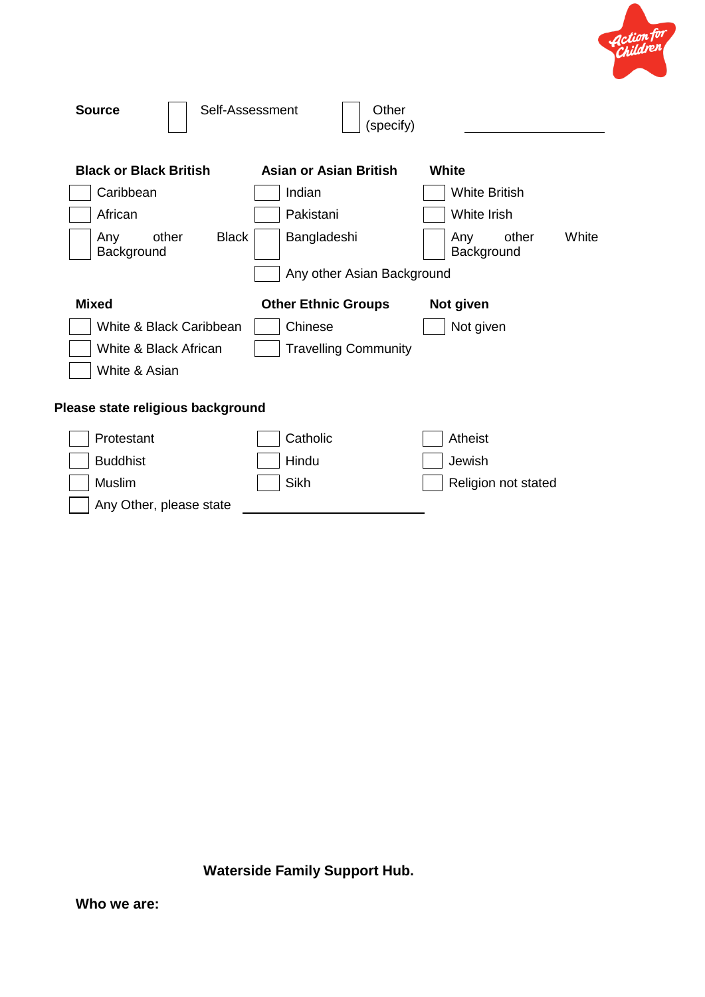

| <b>Source</b>                              | Self-Assessment<br>Other<br>(specify) |                                     |
|--------------------------------------------|---------------------------------------|-------------------------------------|
| <b>Black or Black British</b>              | Asian or Asian British                | White                               |
| Caribbean                                  | Indian                                | <b>White British</b>                |
| African                                    | Pakistani                             | White Irish                         |
| <b>Black</b><br>Any<br>other<br>Background | Bangladeshi                           | White<br>Any<br>other<br>Background |
|                                            | Any other Asian Background            |                                     |
| <b>Mixed</b>                               | <b>Other Ethnic Groups</b>            | Not given                           |
| White & Black Caribbean                    | Chinese                               | Not given                           |
| White & Black African                      | <b>Travelling Community</b>           |                                     |
| White & Asian                              |                                       |                                     |
| Please state religious background          |                                       |                                     |
| Protestant                                 | Catholic                              | Atheist                             |
| <b>Buddhist</b>                            | Hindu                                 | Jewish                              |
|                                            |                                       |                                     |
| Muslim                                     | Sikh                                  | Religion not stated                 |

**Waterside Family Support Hub.**